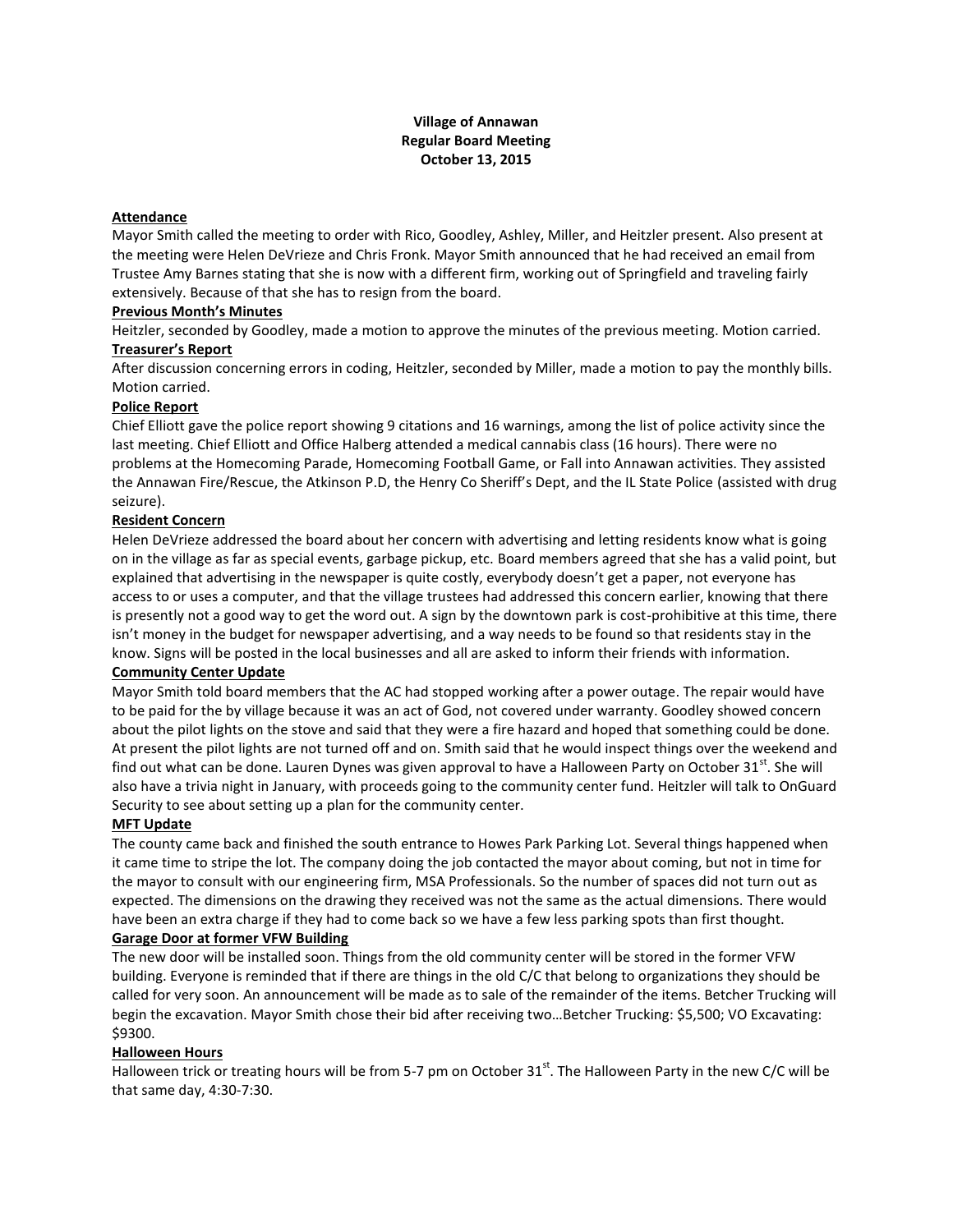# **Village of Annawan Regular Board Meeting October 13, 2015**

# **Attendance**

Mayor Smith called the meeting to order with Rico, Goodley, Ashley, Miller, and Heitzler present. Also present at the meeting were Helen DeVrieze and Chris Fronk. Mayor Smith announced that he had received an email from Trustee Amy Barnes stating that she is now with a different firm, working out of Springfield and traveling fairly extensively. Because of that she has to resign from the board.

### **Previous Month's Minutes**

Heitzler, seconded by Goodley, made a motion to approve the minutes of the previous meeting. Motion carried. **Treasurer's Report**

After discussion concerning errors in coding, Heitzler, seconded by Miller, made a motion to pay the monthly bills. Motion carried.

### **Police Report**

Chief Elliott gave the police report showing 9 citations and 16 warnings, among the list of police activity since the last meeting. Chief Elliott and Office Halberg attended a medical cannabis class (16 hours). There were no problems at the Homecoming Parade, Homecoming Football Game, or Fall into Annawan activities. They assisted the Annawan Fire/Rescue, the Atkinson P.D, the Henry Co Sheriff's Dept, and the IL State Police (assisted with drug seizure).

### **Resident Concern**

Helen DeVrieze addressed the board about her concern with advertising and letting residents know what is going on in the village as far as special events, garbage pickup, etc. Board members agreed that she has a valid point, but explained that advertising in the newspaper is quite costly, everybody doesn't get a paper, not everyone has access to or uses a computer, and that the village trustees had addressed this concern earlier, knowing that there is presently not a good way to get the word out. A sign by the downtown park is cost-prohibitive at this time, there isn't money in the budget for newspaper advertising, and a way needs to be found so that residents stay in the know. Signs will be posted in the local businesses and all are asked to inform their friends with information.

### **Community Center Update**

Mayor Smith told board members that the AC had stopped working after a power outage. The repair would have to be paid for the by village because it was an act of God, not covered under warranty. Goodley showed concern about the pilot lights on the stove and said that they were a fire hazard and hoped that something could be done. At present the pilot lights are not turned off and on. Smith said that he would inspect things over the weekend and find out what can be done. Lauren Dynes was given approval to have a Halloween Party on October 31 $^{\rm st}$ . She will also have a trivia night in January, with proceeds going to the community center fund. Heitzler will talk to OnGuard Security to see about setting up a plan for the community center.

### **MFT Update**

The county came back and finished the south entrance to Howes Park Parking Lot. Several things happened when it came time to stripe the lot. The company doing the job contacted the mayor about coming, but not in time for the mayor to consult with our engineering firm, MSA Professionals. So the number of spaces did not turn out as expected. The dimensions on the drawing they received was not the same as the actual dimensions. There would have been an extra charge if they had to come back so we have a few less parking spots than first thought.

### **Garage Door at former VFW Building**

The new door will be installed soon. Things from the old community center will be stored in the former VFW building. Everyone is reminded that if there are things in the old C/C that belong to organizations they should be called for very soon. An announcement will be made as to sale of the remainder of the items. Betcher Trucking will begin the excavation. Mayor Smith chose their bid after receiving two…Betcher Trucking: \$5,500; VO Excavating: \$9300.

# **Halloween Hours**

Halloween trick or treating hours will be from 5-7 pm on October  $31^{st}$ . The Halloween Party in the new C/C will be that same day, 4:30-7:30.